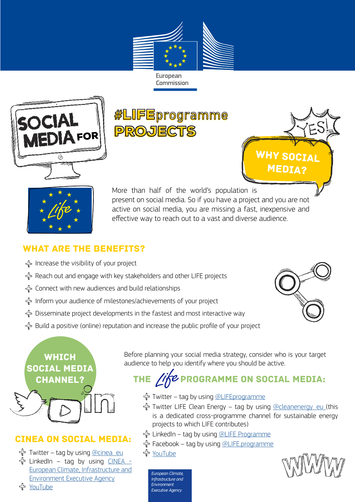

European Commission



#LIFEprogramme #LIFEprogrammePROJECTS





More than half of the world's population is present on social media. So if you have a project and you are not active on social media, you are missing a fast, inexpensive and effective way to reach out to a vast and diverse audience.

#### What are the benefits?

- Increase the visibility of your project
- Reach out and engage with key stakeholders and other LIFE projects
- Connect with new audiences and build relationships
- Inform your audience of milestones/achievements of your project
- Disseminate project developments in the fastest and most interactive way
- Build a positive (online) reputation and increase the public profile of your project



# **WHICH** social media channel?

### CINEA on social media:

 $\bigoplus$  Twitter – tag by using [@cinea\\_eu](https://twitter.com/cinea_eu) LinkedIn – tag by using [CINEA -](https://www.linkedin.com/company/cinea-european-climate-infrastructure-environment-executive-agency/)  [European Climate, Infrastructure and](https://www.linkedin.com/company/cinea-european-climate-infrastructure-environment-executive-agency/)  [Environment Executive Agency](https://www.linkedin.com/company/cinea-european-climate-infrastructure-environment-executive-agency/) [YouTube](https://www.youtube.com/channel/UCDic9AVxO1PP1SqoKbHMwrA)

Before planning your social media strategy, consider who is your target audience to help you identify where you should be active.

# THE  $\hat{\mathcal{U}}$  $\hat{\mathcal{U}}$  PROGRAMME ON SOCIAL MEDIA:

- Twitter tag by using [@LIFEprogramme](https://twitter.com/LIFEprogramme)
- Twitter LIFE Clean Energy tag by using [@cleanenergy\\_eu \(](https://twitter.com/cleanenergy_eu)this is a dedicated cross-programme channel for sustainable energy projects to which LIFE contributes)
- LinkedIn tag by using [@LIFE Programme](https://be.linkedin.com/company/lifeprogramme)
- Facebook tag by using [@LIFE.programme](https://www.facebook.com/LIFE.programme)

[YouTube](https://youtube.com/LIFEprogrammeEU)

*European Climate, Infrastructure and Environment Executive Agency*